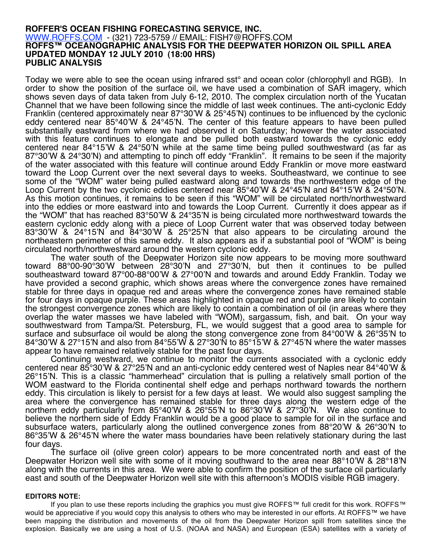## **ROFFER'S OCEAN FISHING FORECASTING SERVICE, INC.** WWW.ROFFS.COM - (321) 723-5759 // EMAIL: FISH7@ROFFS.COM **ROFFS™ OCEANOGRAPHIC ANALYSIS FOR THE DEEPWATER HORIZON OIL SPILL AREA UPDATED MONDAY 12 JULY 2010 (18:00 HRS) PUBLIC ANALYSIS**

Today we were able to see the ocean using infrared sst° and ocean color (chlorophyll and RGB). In order to show the position of the surface oil, we have used a combination of SAR imagery, which shows seven days of data taken from July 6-12, 2010. The complex circulation north of the Yucatan Channel that we have been following since the middle of last week continues. The anti-cyclonic Eddy Franklin (centered approximately near 87°30'W & 25°45'N) continues to be influenced by the cyclonic eddy centered near 85°40'W & 24°45'N. The center of this feature appears to have been pulled substantially eastward from where we had observed it on Saturday; however the water associated with this feature continues to elongate and be pulled both eastward towards the cyclonic eddy centered near 84°15'W & 24°50'N while at the same time being pulled southwestward (as far as 87°30'W & 24°30'N) and attempting to pinch off eddy "Franklin". It remains to be seen if the majority of the water associated with this feature will continue around Eddy Franklin or move more eastward toward the Loop Current over the next several days to weeks. Southeastward, we continue to see some of the "WOM" water being pulled eastward along and towards the northwestern edge of the Loop Current by the two cyclonic eddies centered near 85°40'W & 24°45'N and 84°15'W & 24°50'N. As this motion continues, it remains to be seen if this "WOM" will be circulated north/northwestward into the eddies or more eastward into and towards the Loop Current. Currently it does appear as if the "WOM" that has reached 83°50'W & 24°35'N is being circulated more northwestward towards the eastern cyclonic eddy along with a piece of Loop Current water that was observed today between 83°30'W & 24°15'N and 84°30'W & 25°25'N that also appears to be circulating around the northeastern perimeter of this same eddy. It also appears as if a substantial pool of "WOM" is being circulated north/northwestward around the western cyclonic eddy.

The water south of the Deepwater Horizon site now appears to be moving more southward toward 88°00-90°30'W between 28°30'N and 27°30'N, but then it continues to be pulled southeastward toward 87°00-88°00'W & 27°00'N and towards and around Eddy Franklin. Today we have provided a second graphic, which shows areas where the convergence zones have remained stable for three days in opaque red and areas where the convergence zones have remained stable for four days in opaque purple. These areas highlighted in opaque red and purple are likely to contain the strongest convergence zones which are likely to contain a combination of oil (in areas where they overlap the water masses we have labeled with "WOM), sargassum, fish, and bait. On your way southwestward from Tampa/St. Petersburg, FL, we would suggest that a good area to sample for surface and subsurface oil would be along the stong convergence zone from 84°00'W & 26°35'N to 84°30'W & 27°15'N and also from 84°55'W & 27°30'N to 85°15'W & 27°45'N where the water masses appear to have remained relatively stable for the past four days.

Continuing westward, we continue to monitor the currents associated with a cyclonic eddy centered near 85°30'W & 27°25'N and an anti-cyclonic eddy centered west of Naples near 84°40'W & 26°15'N. This is a classic "hammerhead" circulation that is pulling a relatively small portion of the WOM eastward to the Florida continental shelf edge and perhaps northward towards the northern eddy. This circulation is likely to persist for a few days at least. We would also suggest sampling the area where the convergence has remained stable for three days along the western edge of the northern eddy particularly from 85°40'W & 26°55'N to 86°30'W & 27°30'N. We also continue to believe the northern side of Eddy Franklin would be a good place to sample for oil in the surface and subsurface waters, particularly along the outlined convergence zones from 88°20'W & 26°30'N to 86°35'W & 26°45'N where the water mass boundaries have been relatively stationary during the last four days.

The surface oil (olive green color) appears to be more concentrated north and east of the Deepwater Horizon well site with some of it moving southward to the area near 88°10'W & 28°18'N along with the currents in this area. We were able to confirm the position of the surface oil particularly east and south of the Deepwater Horizon well site with this afternoon's MODIS visible RGB imagery.

## **EDITORS NOTE:**

If you plan to use these reports including the graphics you must give ROFFS™ full credit for this work. ROFFS™ would be appreciative if you would copy this analysis to others who may be interested in our efforts. At ROFFS™ we have been mapping the distribution and movements of the oil from the Deepwater Horizon spill from satellites since the explosion. Basically we are using a host of U.S. (NOAA and NASA) and European (ESA) satellites with a variety of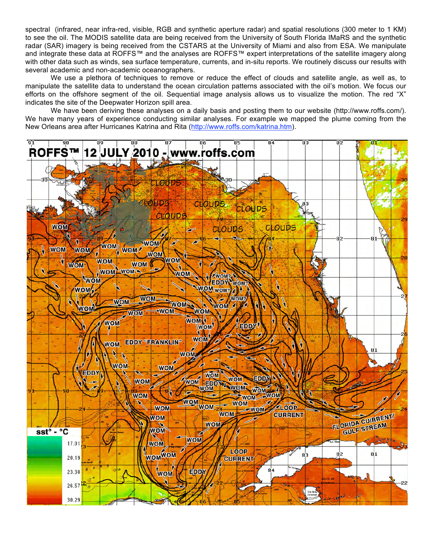spectral (infrared, near infra-red, visible, RGB and synthetic aperture radar) and spatial resolutions (300 meter to 1 KM) to see the oil. The MODIS satellite data are being received from the University of South Florida IMaRS and the synthetic radar (SAR) imagery is being received from the CSTARS at the University of Miami and also from ESA. We manipulate and integrate these data at ROFFS™ and the analyses are ROFFS™ expert interpretations of the satellite imagery along with other data such as winds, sea surface temperature, currents, and in-situ reports. We routinely discuss our results with several academic and non-academic oceanographers.

We use a plethora of techniques to remove or reduce the effect of clouds and satellite angle, as well as, to manipulate the satellite data to understand the ocean circulation patterns associated with the oil's motion. We focus our efforts on the offshore segment of the oil. Sequential image analysis allows us to visualize the motion. The red "X" indicates the site of the Deepwater Horizon spill area.

We have been deriving these analyses on a daily basis and posting them to our website (http://www.roffs.com/). We have many years of experience conducting similar analyses. For example we mapped the plume coming from the New Orleans area after Hurricanes Katrina and Rita (http://www.roffs.com/katrina.htm).